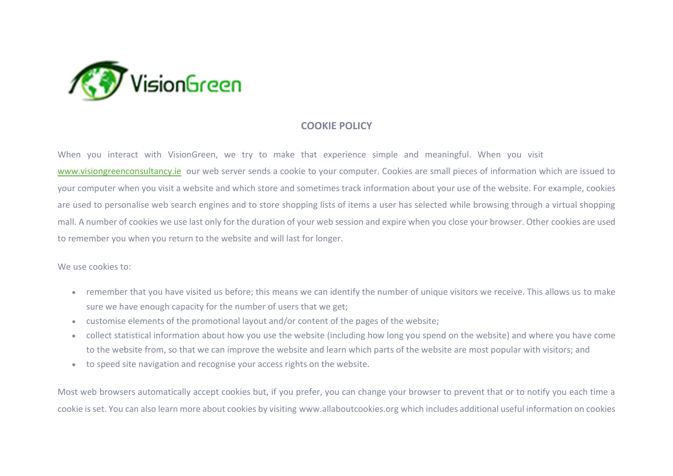

## **COOKIE POLICY**

When you interact with VisionGreen, we try to make that experience simple and meaningful. When you visit [www.visiongreenconsultancy.ie](http://www.visiongreenconsultancy.ie/) our web server sends a cookie to your computer. Cookies are small pieces of information which are issued to your computer when you visit a website and which store and sometimes track information about your use of the website. For example, cookies are used to personalise web search engines and to store shopping lists of items a user has selected while browsing through a virtual shopping mall. A number of cookies we use last only for the duration of your web session and expire when you close your browser. Other cookies are used to remember you when you return to the website and will last for longer.

We use cookies to:

- remember that you have visited us before; this means we can identify the number of unique visitors we receive. This allows us to make sure we have enough capacity for the number of users that we get;
- customise elements of the promotional layout and/or content of the pages of the website;
- collect statistical information about how you use the website (including how long you spend on the website) and where you have come to the website from, so that we can improve the website and learn which parts of the website are most popular with visitors; and
- to speed site navigation and recognise your access rights on the website.

Most web browsers automatically accept cookies but, if you prefer, you can change your browser to prevent that or to notify you each time a cookie is set. You can also learn more about cookies by visiting www.allaboutcookies.org which includes additional useful information on cookies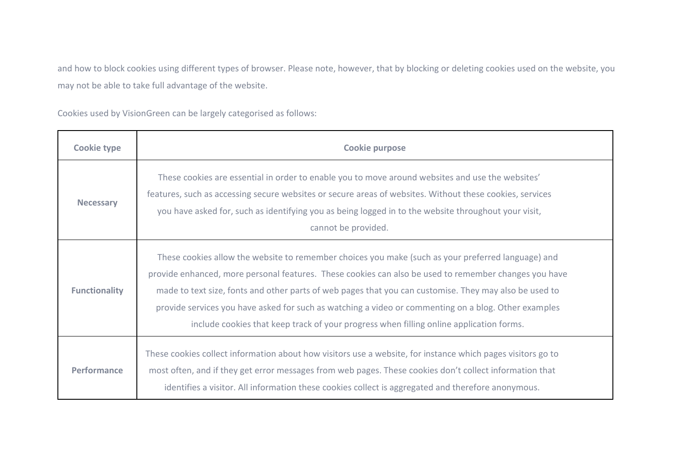and how to block cookies using different types of browser. Please note, however, that by blocking or deleting cookies used on the website, you may not be able to take full advantage of the website.

Cookies used by VisionGreen can be largely categorised as follows:

| Cookie type          | <b>Cookie purpose</b>                                                                                                                                                                                                                                                                                                                                                                                                                                                                                                    |
|----------------------|--------------------------------------------------------------------------------------------------------------------------------------------------------------------------------------------------------------------------------------------------------------------------------------------------------------------------------------------------------------------------------------------------------------------------------------------------------------------------------------------------------------------------|
| <b>Necessary</b>     | These cookies are essential in order to enable you to move around websites and use the websites'<br>features, such as accessing secure websites or secure areas of websites. Without these cookies, services<br>you have asked for, such as identifying you as being logged in to the website throughout your visit,<br>cannot be provided.                                                                                                                                                                              |
| <b>Functionality</b> | These cookies allow the website to remember choices you make (such as your preferred language) and<br>provide enhanced, more personal features. These cookies can also be used to remember changes you have<br>made to text size, fonts and other parts of web pages that you can customise. They may also be used to<br>provide services you have asked for such as watching a video or commenting on a blog. Other examples<br>include cookies that keep track of your progress when filling online application forms. |
| <b>Performance</b>   | These cookies collect information about how visitors use a website, for instance which pages visitors go to<br>most often, and if they get error messages from web pages. These cookies don't collect information that<br>identifies a visitor. All information these cookies collect is aggregated and therefore anonymous.                                                                                                                                                                                             |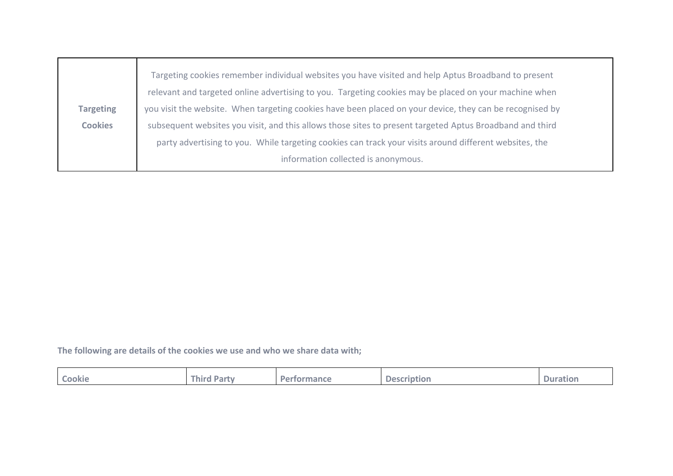|                  | Targeting cookies remember individual websites you have visited and help Aptus Broadband to present      |  |  |  |  |  |
|------------------|----------------------------------------------------------------------------------------------------------|--|--|--|--|--|
|                  | relevant and targeted online advertising to you. Targeting cookies may be placed on your machine when    |  |  |  |  |  |
| <b>Targeting</b> | you visit the website. When targeting cookies have been placed on your device, they can be recognised by |  |  |  |  |  |
| <b>Cookies</b>   | subsequent websites you visit, and this allows those sites to present targeted Aptus Broadband and third |  |  |  |  |  |
|                  | party advertising to you. While targeting cookies can track your visits around different websites, the   |  |  |  |  |  |
|                  | information collected is anonymous.                                                                      |  |  |  |  |  |
|                  |                                                                                                          |  |  |  |  |  |

**The following are details of the cookies we use and who we share data with;**

| <b>Cookie</b> | <b>hird</b>  | $\mathbf{D}\mathbf{a}$ | <b>Description</b> | $\equiv$ |
|---------------|--------------|------------------------|--------------------|----------|
|               | <b>Party</b> | ormance                | . .                | Duration |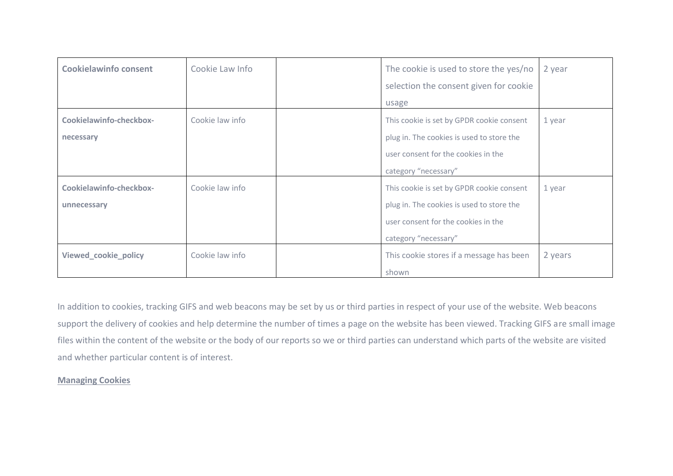| <b>Cookielawinfo consent</b> | Cookie Law Info | The cookie is used to store the yes/no    | 2 year  |
|------------------------------|-----------------|-------------------------------------------|---------|
|                              |                 | selection the consent given for cookie    |         |
|                              |                 | usage                                     |         |
| Cookielawinfo-checkbox-      | Cookie law info | This cookie is set by GPDR cookie consent | 1 year  |
| necessary                    |                 | plug in. The cookies is used to store the |         |
|                              |                 | user consent for the cookies in the       |         |
|                              |                 | category "necessary"                      |         |
| Cookielawinfo-checkbox-      | Cookie law info | This cookie is set by GPDR cookie consent | 1 year  |
| unnecessary                  |                 | plug in. The cookies is used to store the |         |
|                              |                 | user consent for the cookies in the       |         |
|                              |                 | category "necessary"                      |         |
| Viewed_cookie_policy         | Cookie law info | This cookie stores if a message has been  | 2 years |
|                              |                 | shown                                     |         |

In addition to cookies, tracking GIFS and web beacons may be set by us or third parties in respect of your use of the website. Web beacons support the delivery of cookies and help determine the number of times a page on the website has been viewed. Tracking GIFS are small image files within the content of the website or the body of our reports so we or third parties can understand which parts of the website are visited and whether particular content is of interest.

## **Managing Cookies**